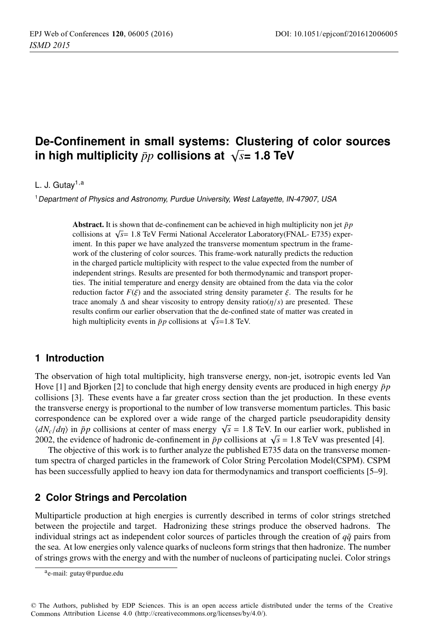# **De-Confinement in small systems: Clustering of color sources** in high multiplicity  $\bar{p}p$  collisions at  $\sqrt{s}$ = 1.8 TeV

#### L. J. Gutay<sup>1, a</sup>

<sup>1</sup> Department of Physics and Astronomy, Purdue University, West Lafayette, IN-47907, USA

Abstract. It is shown that de-confinement can be achieved in high multiplicity non jet  $\bar{p}p$ collisions at <sup>√</sup>*s*<sup>=</sup> 1.8 TeV Fermi National Accelerator Laboratory(FNAL- E735) experiment. In this paper we have analyzed the transverse momentum spectrum in the framework of the clustering of color sources. This frame-work naturally predicts the reduction in the charged particle multiplicity with respect to the value expected from the number of independent strings. Results are presented for both thermodynamic and transport properties. The initial temperature and energy density are obtained from the data via the color reduction factor  $F(\xi)$  and the associated string density parameter  $\xi$ . The results for he trace anomaly  $\Delta$  and shear viscosity to entropy density ratio( $\eta/s$ ) are presented. These results confirm our earlier observation that the de-confined state of matter was created in high multiplicity events in  $\bar{p}p$  collisions at  $\sqrt{s}=1.8$  TeV.

#### **1 Introduction**

The observation of high total multiplicity, high transverse energy, non-jet, isotropic events led Van Hove [1] and Bjorken [2] to conclude that high energy density events are produced in high energy  $\bar{p}p$ collisions [3]. These events have a far greater cross section than the jet production. In these events the transverse energy is proportional to the number of low transverse momentum particles. This basic correspondence can be explored over a wide range of the charged particle pseudorapidity density  $\langle dN_c/d\eta \rangle$  in  $\bar{p}p$  collisions at center of mass energy  $\sqrt{s} = 1.8$  TeV. In our earlier work, published in 2002, the evidence of hadronic de-confinement in  $\bar{p}p$  collisions at  $\sqrt{s}$  = 1.8 TeV was presented [4].

The objective of this work is to further analyze the published E735 data on the transverse momentum spectra of charged particles in the framework of Color String Percolation Model(CSPM). CSPM has been successfully applied to heavy ion data for thermodynamics and transport coefficients [5–9].

## **2 Color Strings and Percolation**

Multiparticle production at high energies is currently described in terms of color strings stretched between the projectile and target. Hadronizing these strings produce the observed hadrons. The individual strings act as independent color sources of particles through the creation of  $q\bar{q}$  pairs from the sea. At low energies only valence quarks of nucleons form strings that then hadronize. The number of strings grows with the energy and with the number of nucleons of participating nuclei. Color strings

ae-mail: [gutay@purdue.edu](mailto:gutay@purdue.edu)

<sup>©</sup> The Authors, published by EDP Sciences. This is an open access article distributed under the terms of the Creative Commons Attribution License 4.0 ([http://creativecommons.org/licenses/by/4.0/\).](http://creativecommons.org/licenses/by/4.0/)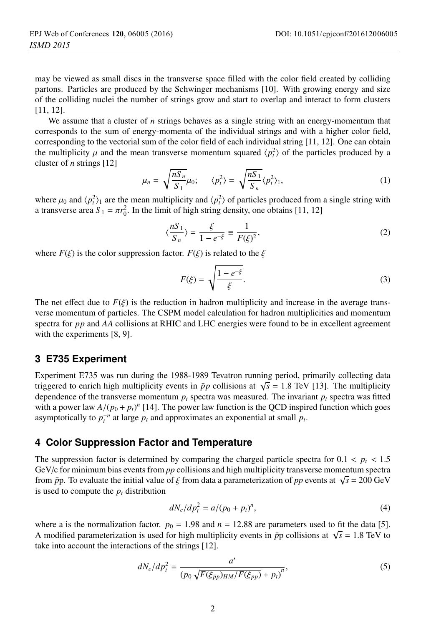may be viewed as small discs in the transverse space filled with the color field created by colliding partons. Particles are produced by the Schwinger mechanisms [10]. With growing energy and size of the colliding nuclei the number of strings grow and start to overlap and interact to form clusters [11, 12].

We assume that a cluster of *n* strings behaves as a single string with an energy-momentum that corresponds to the sum of energy-momenta of the individual strings and with a higher color field, corresponding to the vectorial sum of the color field of each individual string [11, 12]. One can obtain the multiplicity  $\mu$  and the mean transverse momentum squared  $\langle p_t^2 \rangle$  of the particles produced by a cluster of *n* strings [12]

$$
\mu_n = \sqrt{\frac{nS_n}{S_1}} \mu_0; \qquad \langle p_t^2 \rangle = \sqrt{\frac{nS_1}{S_n}} \langle p_t^2 \rangle_1,\tag{1}
$$

where  $\mu_0$  and  $\langle p_t^2 \rangle_1$  are the mean multiplicity and  $\langle p_t^2 \rangle$  of particles produced from a single string with a transverse area  $S_1 = \pi r_0^2$ . In the limit of high string density, one obtains [11, 12]

$$
\langle \frac{nS_1}{S_n} \rangle = \frac{\xi}{1 - e^{-\xi}} \equiv \frac{1}{F(\xi)^2},\tag{2}
$$

where  $F(\xi)$  is the color suppression factor.  $F(\xi)$  is related to the  $\xi$ 

$$
F(\xi) = \sqrt{\frac{1 - e^{-\xi}}{\xi}}.
$$
\n(3)

The net effect due to  $F(\xi)$  is the reduction in hadron multiplicity and increase in the average transverse momentum of particles. The CSPM model calculation for hadron multiplicities and momentum spectra for *pp* and *AA* collisions at RHIC and LHC energies were found to be in excellent agreement with the experiments [8, 9].

#### **3 E735 Experiment**

Experiment E735 was run during the 1988-1989 Tevatron running period, primarily collecting data triggered to enrich high multiplicity events in  $\bar{p}p$  collisions at  $\sqrt{s} = 1.8$  TeV [13]. The multiplicity dependence of the transverse momentum  $p_t$  spectra was measured. The invariant  $p_t$  spectra was fitted with a power law  $A/(p_0 + p_t)^n$  [14]. The power law function is the QCD inspired function which goes asymptotically to  $p_t^{-n}$  at large  $p_t$  and approximates an exponential at small  $p_t$ .

#### **4 Color Suppression Factor and Temperature**

The suppression factor is determined by comparing the charged particle spectra for  $0.1 < p_t < 1.5$ GeV/c for minimum bias events from *pp* collisions and high multiplicity transverse momentum spectra from  $\bar{p}p$ . To evaluate the initial value of  $\xi$  from data a parameterization of pp events at  $\sqrt{s} = 200 \text{ GeV}$ is used to compute the  $p_t$  distribution

$$
dN_c/dp_t^2 = a/(p_0 + p_t)^n,
$$
\n(4)

where a is the normalization factor.  $p_0 = 1.98$  and  $n = 12.88$  are parameters used to fit the data [5]. A modified parameterization is used for high multiplicity events in  $\bar{p}p$  collisions at  $\sqrt{s} = 1.8$  TeV to take into account the interactions of the strings [12].

$$
dN_c/dp_t^2 = \frac{a'}{(p_0\sqrt{F(\xi_{\bar{p}p})_{HM}/F(\xi_{pp})} + p_t)^n},
$$
\n(5)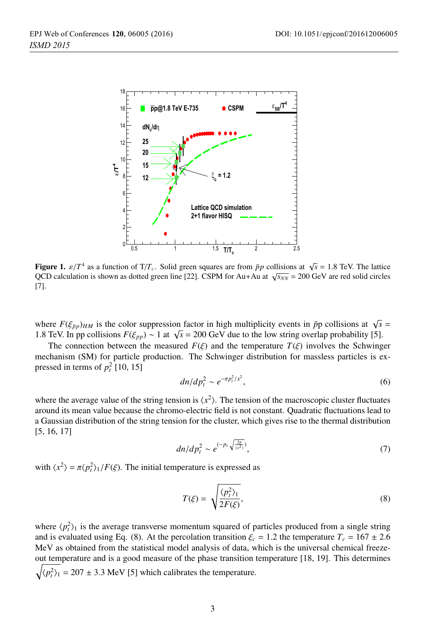

Figure 1.  $\varepsilon/T^4$  as a function of T/T<sub>c</sub>. Solid green squares are from  $\bar{p}p$  collisions at  $\sqrt{s} = 1.8$  TeV. The lattice QCD calculation is shown as dotted green line [22]. CSPM for Au+Au at  $\sqrt{s_{NN}}$  = 200 GeV are red solid circles [7].

where  $F(\xi_{\bar{p}p})_{HM}$  is the color suppression factor in high multiplicity events in  $\bar{p}p$  collisions at  $\sqrt{s}$  = 1.8 TeV. In pp collisions  $F(\xi_{pp}) \sim 1$  at  $\sqrt{s} = 200$  GeV due to the low string overlap probability [5].

The connection between the measured  $F(\xi)$  and the temperature  $T(\xi)$  involves the Schwinger mechanism (SM) for particle production. The Schwinger distribution for massless particles is expressed in terms of  $p_t^2$  [10, 15]

$$
dn/dp_t^2 \sim e^{-\pi p_t^2/x^2},\qquad(6)
$$

where the average value of the string tension is  $\langle x^2 \rangle$ . The tension of the macroscopic cluster fluctuates around its mean value because the chromo-electric field is not constant. Quadratic fluctuations lead to a Gaussian distribution of the string tension for the cluster, which gives rise to the thermal distribution [5, 16, 17]

$$
dn/dp_t^2 \sim e^{(-p_t\sqrt{\frac{2\pi}{\langle x^2 \rangle}})},\tag{7}
$$

with  $\langle x^2 \rangle = \pi \langle p_t^2 \rangle_1 / F(\xi)$ . The initial temperature is expressed as

$$
T(\xi) = \sqrt{\frac{\langle p_i^2 \rangle_1}{2F(\xi)}},\tag{8}
$$

where  $\langle p_t^2 \rangle_1$  is the average transverse momentum squared of particles produced from a single string and is evaluated using Eq. (8). At the percolation transition  $\xi_c = 1.2$  the temperature  $T_c = 167 \pm 2.6$ MeV as obtained from the statistical model analysis of data, which is the universal chemical freezeout temperature and is a good measure of the phase transition temperature [18, 19]. This determines  $\sqrt{\langle p_i^2 \rangle_1}$  = 207 ± 3.3 MeV [5] which calibrates the temperature.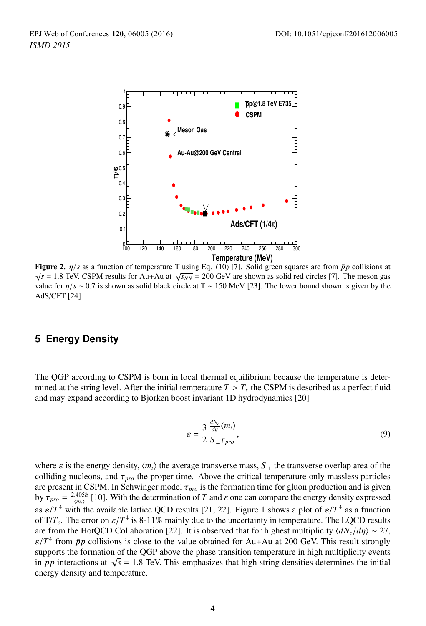

Figure 2. η/*<sup>s</sup>* as a function of temperature T using Eq. (10) [7]. Solid green squares are from ¯*pp* collisions at  $\sqrt{s}$  = 1.8 TeV. CSPM results for Au+Au at  $\sqrt{s_{NN}}$  = 200 GeV are shown as solid red circles [7]. The meson gas value for η/*s* ∼ 0.7 is shown as solid black circle at T ∼ 150 MeV [23]. The lower bound shown is given by the AdS/CFT [24].

### **5 Energy Density**

The QGP according to CSPM is born in local thermal equilibrium because the temperature is determined at the string level. After the initial temperature  $T > T_c$  the CSPM is described as a perfect fluid and may expand according to Bjorken boost invariant 1D hydrodynamics [20]

$$
\varepsilon = \frac{3}{2} \frac{\frac{dN_c}{dy} \langle m_t \rangle}{S_{\perp} \tau_{pro}},\tag{9}
$$

where  $\varepsilon$  is the energy density,  $\langle m_t \rangle$  the average transverse mass,  $S_\perp$  the transverse overlap area of the colliding nucleons, and  $\tau_{pro}$  the proper time. Above the critical temperature only massless particles are present in CSPM. In Schwinger model τ*pro* is the formation time for gluon production and is given by  $\tau_{pro} = \frac{2.405\hbar}{\langle m_t \rangle}$  [10]. With the determination of *T* and  $\varepsilon$  one can compare the energy density expressed as  $\varepsilon/T^4$  with the available lattice QCD results [21, 22]. Figure 1 shows a plot of  $\varepsilon/T^4$  as a function of  $T/T_c$ . The error on  $\varepsilon/T^4$  is 8-11% mainly due to the uncertainty in temperature. The LQCD results are from the HotQCD Collaboration [22]. It is observed that for highest multiplicity  $\langle dN_c/d\eta \rangle \sim 27$ ,  $\varepsilon/T^4$  from  $\bar{p}p$  collisions is close to the value obtained for Au+Au at 200 GeV. This result strongly supports the formation of the QGP above the phase transition temperature in high multiplicity events in  $\bar{p}p$  interactions at  $\sqrt{s}$  = 1.8 TeV. This emphasizes that high string densities determines the initial energy density and temperature.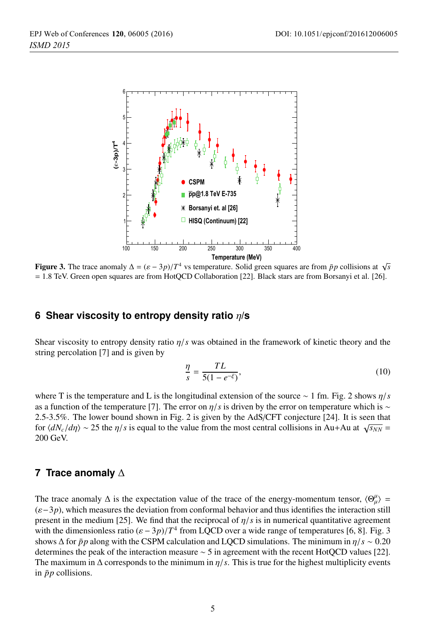

Figure 3. The trace anomaly  $\Delta = (\varepsilon - 3p)/T^4$  vs temperature. Solid green squares are from  $\bar{p}p$  collisions at  $\sqrt{s}$ = 1.8 TeV. Green open squares are from HotQCD Collaboration [22]. Black stars are from Borsanyi et al. [26].

# **6 Shear viscosity to entropy density ratio** η**/s**

Shear viscosity to entropy density ratio η/*s* was obtained in the framework of kinetic theory and the string percolation [7] and is given by

$$
\frac{\eta}{s} = \frac{TL}{5(1 - e^{-\xi})},\tag{10}
$$

where T is the temperature and L is the longitudinal extension of the source ∼ 1 fm. Fig. 2 shows η/*s* as a function of the temperature [7]. The error on  $\eta/s$  is driven by the error on temperature which is ∼ 2.5-3.5%. The lower bound shown in Fig. 2 is given by the AdS/CFT conjecture [24]. It is seen that for  $\langle dN_c/d\eta \rangle \sim 25$  the  $\eta/s$  is equal to the value from the most central collisions in Au+Au at  $\sqrt{s_{NN}}$  = 200 GeV.

## **7 Trace anomaly** Δ

The trace anomaly  $\Delta$  is the expectation value of the trace of the energy-momentum tensor,  $\langle \Theta_{\mu}^{\mu} \rangle$  = (ε−3*p*), which measures the deviation from conformal behavior and thus identifies the interaction still present in the medium [25]. We find that the reciprocal of  $\eta/s$  is in numerical quantitative agreement with the dimensionless ratio  $(\varepsilon - 3p)/T^4$  from LQCD over a wide range of temperatures [6, 8]. Fig. 3 shows  $\Delta$  for  $\bar{p}p$  along with the CSPM calculation and LQCD simulations. The minimum in  $\eta/s \sim 0.20$ determines the peak of the interaction measure ∼ 5 in agreement with the recent HotQCD values [22]. The maximum in  $\Delta$  corresponds to the minimum in  $\eta/s$ . This is true for the highest multiplicity events in  $\bar{p}p$  collisions.